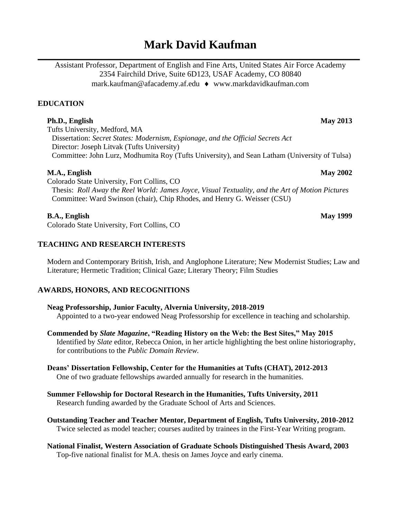# **Mark David Kaufman**

**\_\_\_\_\_\_\_\_\_\_\_\_\_\_\_\_\_\_\_\_\_\_\_\_\_\_\_\_\_\_\_\_\_\_\_\_\_\_\_\_\_\_\_\_\_\_\_\_\_\_\_\_\_\_\_\_\_\_\_\_\_\_\_\_\_\_\_\_\_\_\_\_\_\_\_\_\_\_\_\_\_\_** Assistant Professor, Department of English and Fine Arts, United States Air Force Academy 2354 Fairchild Drive, Suite 6D123, USAF Academy, CO 80840 mark.kaufman@afacademy.af.edu ♦ [www.markdavidkaufman.com](http://www.markdavidkaufman.com/)

# **EDUCATION**

# **Ph.D., English May 2013**

Tufts University, Medford, MA Dissertation: *Secret States: Modernism, Espionage, and the Official Secrets Act* Director: Joseph Litvak (Tufts University) Committee: John Lurz, Modhumita Roy (Tufts University), and Sean Latham (University of Tulsa)

# **M.A., English May 2002**

Colorado State University, Fort Collins, CO Thesis: *Roll Away the Reel World: James Joyce, Visual Textuality, and the Art of Motion Pictures* Committee: Ward Swinson (chair), Chip Rhodes, and Henry G. Weisser (CSU)

# **B.A., English May 1999**

Colorado State University, Fort Collins, CO

# **TEACHING AND RESEARCH INTERESTS**

Modern and Contemporary British, Irish, and Anglophone Literature; New Modernist Studies; Law and Literature; Hermetic Tradition; Clinical Gaze; Literary Theory; Film Studies

# **AWARDS, HONORS, AND RECOGNITIONS**

### **Neag Professorship, Junior Faculty, Alvernia University, 2018-2019**

Appointed to a two-year endowed Neag Professorship for excellence in teaching and scholarship.

**Commended by** *Slate Magazine***, "Reading History on the Web: the Best Sites," May 2015**  Identified by *Slate* editor, Rebecca Onion, in her article highlighting the best online historiography, for contributions to the *Public Domain Review.*

#### **Deans' Dissertation Fellowship, Center for the Humanities at Tufts (CHAT), 2012-2013** One of two graduate fellowships awarded annually for research in the humanities.

- **Summer Fellowship for Doctoral Research in the Humanities, Tufts University, 2011** Research funding awarded by the Graduate School of Arts and Sciences.
- **Outstanding Teacher and Teacher Mentor, Department of English, Tufts University, 2010-2012**  Twice selected as model teacher; courses audited by trainees in the First-Year Writing program.
- **National Finalist, Western Association of Graduate Schools Distinguished Thesis Award, 2003** Top-five national finalist for M.A. thesis on James Joyce and early cinema.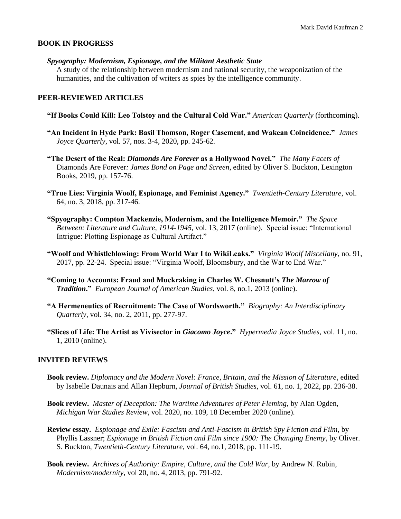#### **BOOK IN PROGRESS**

*Spyography: Modernism, Espionage, and the Militant Aesthetic State*

A study of the relationship between modernism and national security, the weaponization of the humanities, and the cultivation of writers as spies by the intelligence community.

#### **PEER-REVIEWED ARTICLES**

- **"If Books Could Kill: Leo Tolstoy and the Cultural Cold War."** *American Quarterly* (forthcoming).
- **"An Incident in Hyde Park: Basil Thomson, Roger Casement, and Wakean Coincidence."** *James Joyce Quarterly*, vol. 57, nos. 3-4, 2020, pp. 245-62.
- **"The Desert of the Real:** *Diamonds Are Forever* **as a Hollywood Novel."** *The Many Facets of*  Diamonds Are Forever*: James Bond on Page and Screen*, edited by Oliver S. Buckton, Lexington Books, 2019, pp. 157-76.
- **"True Lies: Virginia Woolf, Espionage, and Feminist Agency."** *Twentieth-Century Literature*, vol. 64, no. 3, 2018, pp. 317-46.
- **"Spyography: Compton Mackenzie, Modernism, and the Intelligence Memoir."** *The Space Between: Literature and Culture, 1914-1945*, vol. 13, 2017 (online). Special issue: "International Intrigue: Plotting Espionage as Cultural Artifact."
- **"Woolf and Whistleblowing: From World War I to WikiLeaks."** *Virginia Woolf Miscellany*, no. 91, 2017, pp. 22-24. Special issue: "Virginia Woolf, Bloomsbury, and the War to End War."
- **"Coming to Accounts: Fraud and Muckraking in Charles W. Chesnutt's** *The Marrow of Tradition***."** *European Journal of American Studies*, vol. 8, no.1, 2013 (online).
- **"A Hermeneutics of Recruitment: The Case of Wordsworth."** *Biography: An Interdisciplinary Quarterly*, vol. 34, no. 2, 2011, pp. 277-97.
- **"Slices of Life: The Artist as Vivisector in** *Giacomo Joyce***."** *Hypermedia Joyce Studies*, vol. 11, no. 1, 2010 (online).

#### **INVITED REVIEWS**

- **Book review.** *Diplomacy and the Modern Novel: France, Britain, and the Mission of Literature*, edited by Isabelle Daunais and Allan Hepburn, *Journal of British Studies*, vol. 61, no. 1, 2022, pp. 236-38.
- **Book review.** *Master of Deception: The Wartime Adventures of Peter Fleming*, by Alan Ogden, *Michigan War Studies Review*, vol. 2020, no. 109, 18 December 2020 (online).
- **Review essay.** *Espionage and Exile: Fascism and Anti-Fascism in British Spy Fiction and Film*, by Phyllis Lassner; *Espionage in British Fiction and Film since 1900: The Changing Enemy*, by Oliver. S. Buckton, *Twentieth-Century Literature*, vol. 64, no.1, 2018, pp. 111-19.
- **Book review.** *Archives of Authority: Empire, Culture, and the Cold War*, by Andrew N. Rubin, *Modernism/modernity*, vol 20, no. 4, 2013, pp. 791-92.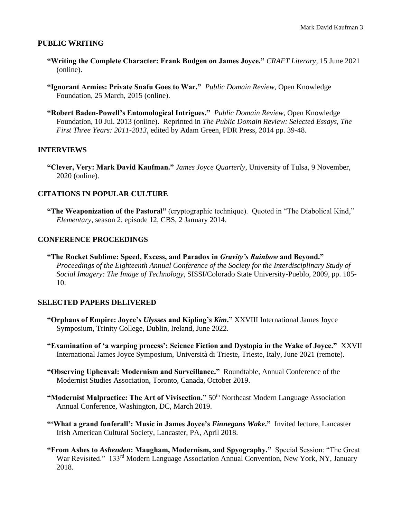#### **PUBLIC WRITING**

- **"Writing the Complete Character: Frank Budgen on James Joyce."** *CRAFT Literary*, 15 June 2021 (online).
- **"Ignorant Armies: Private Snafu Goes to War."** *Public Domain Review*, Open Knowledge Foundation, 25 March, 2015 (online).
- **"Robert Baden-Powell's Entomological Intrigues."** *Public Domain Review*, Open Knowledge Foundation, 10 Jul. 2013 (online). Reprinted in *The Public Domain Review: Selected Essays, The First Three Years: 2011-2013*, edited by Adam Green, PDR Press, 2014 pp. 39-48.

#### **INTERVIEWS**

**"Clever, Very: Mark David Kaufman."** *James Joyce Quarterly*, University of Tulsa, 9 November, 2020 (online).

#### **CITATIONS IN POPULAR CULTURE**

**"The Weaponization of the Pastoral"** (cryptographic technique). Quoted in "The Diabolical Kind," *Elementary*, season 2, episode 12, CBS, 2 January 2014.

#### **CONFERENCE PROCEEDINGS**

**"The Rocket Sublime: Speed, Excess, and Paradox in** *Gravity's Rainbow* **and Beyond."** *Proceedings of the Eighteenth Annual Conference of the Society for the Interdisciplinary Study of Social Imagery: The Image of Technology*, SISSI/Colorado State University-Pueblo, 2009, pp. 105- 10.

#### **SELECTED PAPERS DELIVERED**

- **"Orphans of Empire: Joyce's** *Ulysses* **and Kipling's** *Kim***."** XXVIII International James Joyce Symposium, Trinity College, Dublin, Ireland, June 2022.
- **"Examination of 'a warping process': Science Fiction and Dystopia in the Wake of Joyce."** XXVII International James Joyce Symposium, Università di Trieste, Trieste, Italy, June 2021 (remote).
- **"Observing Upheaval: Modernism and Surveillance."** Roundtable, Annual Conference of the Modernist Studies Association, Toronto, Canada, October 2019.
- **"Modernist Malpractice: The Art of Vivisection."** 50<sup>th</sup> Northeast Modern Language Association Annual Conference, Washington, DC, March 2019.
- **"'What a grand funferall': Music in James Joyce's** *Finnegans Wake***."** Invited lecture, Lancaster Irish American Cultural Society, Lancaster, PA, April 2018.
- **"From Ashes to** *Ashenden***: Maugham, Modernism, and Spyography."** Special Session: "The Great War Revisited." 133<sup>rd</sup> Modern Language Association Annual Convention, New York, NY, January 2018.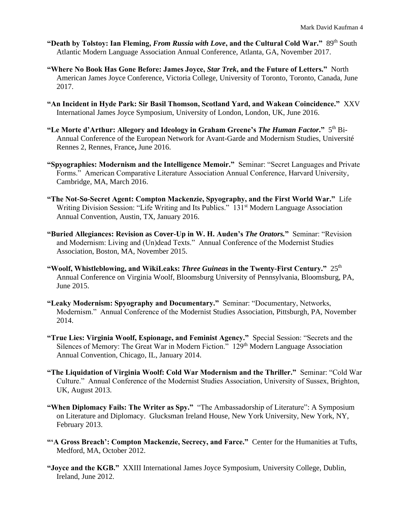- **"Death by Tolstoy: Ian Fleming,** *From Russia with Love***, and the Cultural Cold War."** 89th South Atlantic Modern Language Association Annual Conference, Atlanta, GA, November 2017.
- **"Where No Book Has Gone Before: James Joyce,** *Star Trek***, and the Future of Letters."** North American James Joyce Conference, Victoria College, University of Toronto, Toronto, Canada, June 2017.
- **"An Incident in Hyde Park: Sir Basil Thomson, Scotland Yard, and Wakean Coincidence."** XXV International James Joyce Symposium, University of London, London, UK, June 2016.
- "Le Morte d'Arthur: Allegory and Ideology in Graham Greene's *The Human Factor*." 5<sup>th</sup> Bi-Annual Conference of the European Network for Avant-Garde and Modernism Studies, Université Rennes 2, Rennes, France**,** June 2016.
- **"Spyographies: Modernism and the Intelligence Memoir."** Seminar: "Secret Languages and Private Forms." American Comparative Literature Association Annual Conference, Harvard University, Cambridge, MA, March 2016.
- **"The Not-So-Secret Agent: Compton Mackenzie, Spyography, and the First World War."** Life Writing Division Session: "Life Writing and Its Publics." 131<sup>st</sup> Modern Language Association Annual Convention, Austin, TX, January 2016.
- **"Buried Allegiances: Revision as Cover-Up in W. H. Auden's** *The Orators.***"** Seminar: "Revision and Modernism: Living and (Un)dead Texts." Annual Conference of the Modernist Studies Association, Boston, MA, November 2015.
- **"Woolf, Whistleblowing, and WikiLeaks:** *Three Guineas* **in the Twenty-First Century."** 25th Annual Conference on Virginia Woolf, Bloomsburg University of Pennsylvania, Bloomsburg, PA, June 2015.
- **"Leaky Modernism: Spyography and Documentary."** Seminar: "Documentary, Networks, Modernism." Annual Conference of the Modernist Studies Association, Pittsburgh, PA, November 2014.
- **"True Lies: Virginia Woolf, Espionage, and Feminist Agency."** Special Session: "Secrets and the Silences of Memory: The Great War in Modern Fiction." 129<sup>th</sup> Modern Language Association Annual Convention, Chicago, IL, January 2014.
- **"The Liquidation of Virginia Woolf: Cold War Modernism and the Thriller."** Seminar: "Cold War Culture." Annual Conference of the Modernist Studies Association, University of Sussex, Brighton, UK, August 2013.
- **"When Diplomacy Fails: The Writer as Spy."** "The Ambassadorship of Literature": A Symposium on Literature and Diplomacy. Glucksman Ireland House, New York University, New York, NY, February 2013.
- **"'A Gross Breach': Compton Mackenzie, Secrecy, and Farce."** Center for the Humanities at Tufts, Medford, MA, October 2012.
- **"Joyce and the KGB."** XXIII International James Joyce Symposium, University College, Dublin, Ireland, June 2012.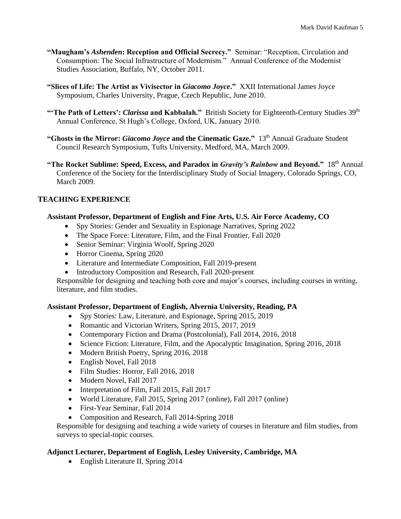- **"Maugham's** *Ashenden***: Reception and Official Secrecy."** Seminar: "Reception, Circulation and Consumption: The Social Infrastructure of Modernism." Annual Conference of the Modernist Studies Association, Buffalo, NY, October 2011.
- **"Slices of Life: The Artist as Vivisector in** *Giacomo Joyce***."** XXII International James Joyce Symposium, Charles University, Prague, Czech Republic, June 2010.
- "The Path of Letters': *Clarissa* and Kabbalah." British Society for Eighteenth-Century Studies 39<sup>th</sup> Annual Conference, St Hugh's College, Oxford, UK, January 2010.
- **"Ghosts in the Mirror:** *Giacomo Joyce* **and the Cinematic Gaze."** 13th Annual Graduate Student Council Research Symposium, Tufts University, Medford, MA, March 2009.
- **"The Rocket Sublime: Speed, Excess, and Paradox in** *Gravity's Rainbow* **and Beyond."** 18th Annual Conference of the Society for the Interdisciplinary Study of Social Imagery, Colorado Springs, CO, March 2009.

# **TEACHING EXPERIENCE**

# **Assistant Professor, Department of English and Fine Arts, U.S. Air Force Academy, CO**

- Spy Stories: Gender and Sexuality in Espionage Narratives, Spring 2022
- The Space Force: Literature, Film, and the Final Frontier, Fall 2020
- Senior Seminar: Virginia Woolf, Spring 2020
- Horror Cinema, Spring 2020
- Literature and Intermediate Composition, Fall 2019-present
- Introductory Composition and Research, Fall 2020-present

Responsible for designing and teaching both core and major's courses, including courses in writing, literature, and film studies.

# **Assistant Professor, Department of English, Alvernia University, Reading, PA**

- Spy Stories: Law, Literature, and Espionage, Spring 2015, 2019
- Romantic and Victorian Writers, Spring 2015, 2017, 2019
- Contemporary Fiction and Drama (Postcolonial), Fall 2014, 2016, 2018
- Science Fiction: Literature, Film, and the Apocalyptic Imagination, Spring 2016, 2018
- Modern British Poetry, Spring 2016, 2018
- English Novel, Fall 2018
- Film Studies: Horror, Fall 2016, 2018
- Modern Novel, Fall 2017
- Interpretation of Film, Fall 2015, Fall 2017
- World Literature, Fall 2015, Spring 2017 (online), Fall 2017 (online)
- First-Year Seminar, Fall 2014
- Composition and Research, Fall 2014-Spring 2018

Responsible for designing and teaching a wide variety of courses in literature and film studies, from surveys to special-topic courses.

# **Adjunct Lecturer, Department of English, Lesley University, Cambridge, MA**

• English Literature II, Spring 2014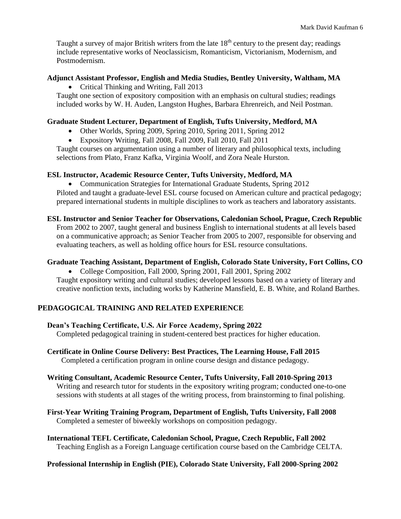Taught a survey of major British writers from the late  $18<sup>th</sup>$  century to the present day; readings include representative works of Neoclassicism, Romanticism, Victorianism, Modernism, and Postmodernism.

### **Adjunct Assistant Professor, English and Media Studies, Bentley University, Waltham, MA**

• Critical Thinking and Writing, Fall 2013

Taught one section of expository composition with an emphasis on cultural studies; readings included works by W. H. Auden, Langston Hughes, Barbara Ehrenreich, and Neil Postman.

### **Graduate Student Lecturer, Department of English, Tufts University, Medford, MA**

- Other Worlds, Spring 2009, Spring 2010, Spring 2011, Spring 2012
- Expository Writing, Fall 2008, Fall 2009, Fall 2010, Fall 2011

Taught courses on argumentation using a number of literary and philosophical texts, including selections from Plato, Franz Kafka, Virginia Woolf, and Zora Neale Hurston.

### **ESL Instructor, Academic Resource Center, Tufts University, Medford, MA**

• Communication Strategies for International Graduate Students, Spring 2012 Piloted and taught a graduate-level ESL course focused on American culture and practical pedagogy; prepared international students in multiple disciplines to work as teachers and laboratory assistants.

### **ESL Instructor and Senior Teacher for Observations, Caledonian School, Prague, Czech Republic**

From 2002 to 2007, taught general and business English to international students at all levels based on a communicative approach; as Senior Teacher from 2005 to 2007, responsible for observing and evaluating teachers, as well as holding office hours for ESL resource consultations.

### **Graduate Teaching Assistant, Department of English, Colorado State University, Fort Collins, CO**

• College Composition, Fall 2000, Spring 2001, Fall 2001, Spring 2002

Taught expository writing and cultural studies; developed lessons based on a variety of literary and creative nonfiction texts, including works by Katherine Mansfield, E. B. White, and Roland Barthes.

# **PEDAGOGICAL TRAINING AND RELATED EXPERIENCE**

### **Dean's Teaching Certificate, U.S. Air Force Academy, Spring 2022**

Completed pedagogical training in student-centered best practices for higher education.

### **Certificate in Online Course Delivery: Best Practices, The Learning House, Fall 2015** Completed a certification program in online course design and distance pedagogy.

#### **Writing Consultant, Academic Resource Center, Tufts University, Fall 2010-Spring 2013** Writing and research tutor for students in the expository writing program; conducted one-to-one sessions with students at all stages of the writing process, from brainstorming to final polishing.

**First-Year Writing Training Program, Department of English, Tufts University, Fall 2008** Completed a semester of biweekly workshops on composition pedagogy.

**International TEFL Certificate, Caledonian School, Prague, Czech Republic, Fall 2002** Teaching English as a Foreign Language certification course based on the Cambridge CELTA.

### **Professional Internship in English (PIE), Colorado State University, Fall 2000-Spring 2002**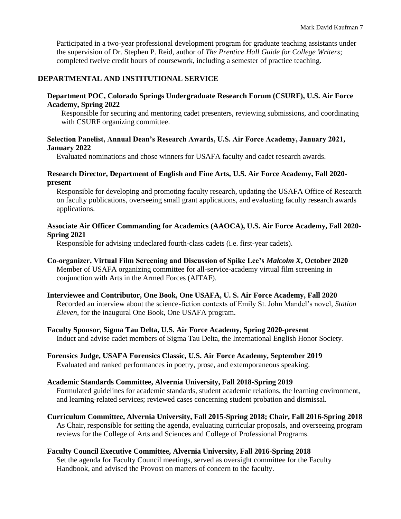Participated in a two-year professional development program for graduate teaching assistants under the supervision of Dr. Stephen P. Reid, author of *The Prentice Hall Guide for College Writers*; completed twelve credit hours of coursework, including a semester of practice teaching.

### **DEPARTMENTAL AND INSTITUTIONAL SERVICE**

#### **Department POC, Colorado Springs Undergraduate Research Forum (CSURF), U.S. Air Force Academy, Spring 2022**

Responsible for securing and mentoring cadet presenters, reviewing submissions, and coordinating with CSURF organizing committee.

#### **Selection Panelist, Annual Dean's Research Awards, U.S. Air Force Academy, January 2021, January 2022**

Evaluated nominations and chose winners for USAFA faculty and cadet research awards.

#### **Research Director, Department of English and Fine Arts, U.S. Air Force Academy, Fall 2020 present**

Responsible for developing and promoting faculty research, updating the USAFA Office of Research on faculty publications, overseeing small grant applications, and evaluating faculty research awards applications.

#### **Associate Air Officer Commanding for Academics (AAOCA), U.S. Air Force Academy, Fall 2020- Spring 2021**

Responsible for advising undeclared fourth-class cadets (i.e. first-year cadets).

### **Co-organizer, Virtual Film Screening and Discussion of Spike Lee's** *Malcolm X***, October 2020** Member of USAFA organizing committee for all-service-academy virtual film screening in conjunction with Arts in the Armed Forces (AITAF).

**Interviewee and Contributor, One Book, One USAFA, U. S. Air Force Academy, Fall 2020** Recorded an interview about the science-fiction contexts of Emily St. John Mandel's novel, *Station Eleven*, for the inaugural One Book, One USAFA program.

#### **Faculty Sponsor, Sigma Tau Delta, U.S. Air Force Academy, Spring 2020-present** Induct and advise cadet members of Sigma Tau Delta, the International English Honor Society.

**Forensics Judge, USAFA Forensics Classic, U.S. Air Force Academy, September 2019** Evaluated and ranked performances in poetry, prose, and extemporaneous speaking.

#### **Academic Standards Committee, Alvernia University, Fall 2018-Spring 2019**

Formulated guidelines for academic standards, student academic relations, the learning environment, and learning-related services; reviewed cases concerning student probation and dismissal.

#### **Curriculum Committee, Alvernia University, Fall 2015-Spring 2018; Chair, Fall 2016-Spring 2018** As Chair, responsible for setting the agenda, evaluating curricular proposals, and overseeing program reviews for the College of Arts and Sciences and College of Professional Programs.

#### **Faculty Council Executive Committee, Alvernia University, Fall 2016-Spring 2018**

Set the agenda for Faculty Council meetings, served as oversight committee for the Faculty Handbook, and advised the Provost on matters of concern to the faculty.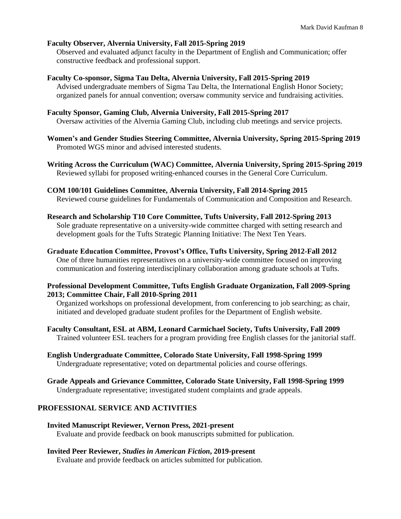### **Faculty Observer, Alvernia University, Fall 2015-Spring 2019**

Observed and evaluated adjunct faculty in the Department of English and Communication; offer constructive feedback and professional support.

#### **Faculty Co-sponsor, Sigma Tau Delta, Alvernia University, Fall 2015-Spring 2019**

Advised undergraduate members of Sigma Tau Delta, the International English Honor Society; organized panels for annual convention; oversaw community service and fundraising activities.

#### **Faculty Sponsor, Gaming Club, Alvernia University, Fall 2015-Spring 2017**

Oversaw activities of the Alvernia Gaming Club, including club meetings and service projects.

**Women's and Gender Studies Steering Committee, Alvernia University, Spring 2015-Spring 2019** Promoted WGS minor and advised interested students.

**Writing Across the Curriculum (WAC) Committee, Alvernia University, Spring 2015-Spring 2019** Reviewed syllabi for proposed writing-enhanced courses in the General Core Curriculum.

#### **COM 100/101 Guidelines Committee, Alvernia University, Fall 2014-Spring 2015** Reviewed course guidelines for Fundamentals of Communication and Composition and Research.

#### **Research and Scholarship T10 Core Committee, Tufts University, Fall 2012-Spring 2013**

Sole graduate representative on a university-wide committee charged with setting research and development goals for the Tufts Strategic Planning Initiative: The Next Ten Years.

#### **Graduate Education Committee, Provost's Office, Tufts University, Spring 2012-Fall 2012**

One of three humanities representatives on a university-wide committee focused on improving communication and fostering interdisciplinary collaboration among graduate schools at Tufts.

#### **Professional Development Committee, Tufts English Graduate Organization, Fall 2009-Spring 2013; Committee Chair, Fall 2010-Spring 2011**

Organized workshops on professional development, from conferencing to job searching; as chair, initiated and developed graduate student profiles for the Department of English website.

**Faculty Consultant, ESL at ABM, Leonard Carmichael Society, Tufts University, Fall 2009** Trained volunteer ESL teachers for a program providing free English classes for the janitorial staff.

#### **English Undergraduate Committee, Colorado State University, Fall 1998-Spring 1999** Undergraduate representative; voted on departmental policies and course offerings.

**Grade Appeals and Grievance Committee, Colorado State University, Fall 1998-Spring 1999** Undergraduate representative; investigated student complaints and grade appeals.

#### **PROFESSIONAL SERVICE AND ACTIVITIES**

**Invited Manuscript Reviewer, Vernon Press, 2021-present** Evaluate and provide feedback on book manuscripts submitted for publication.

#### **Invited Peer Reviewer,** *Studies in American Fiction***, 2019-present**

Evaluate and provide feedback on articles submitted for publication.